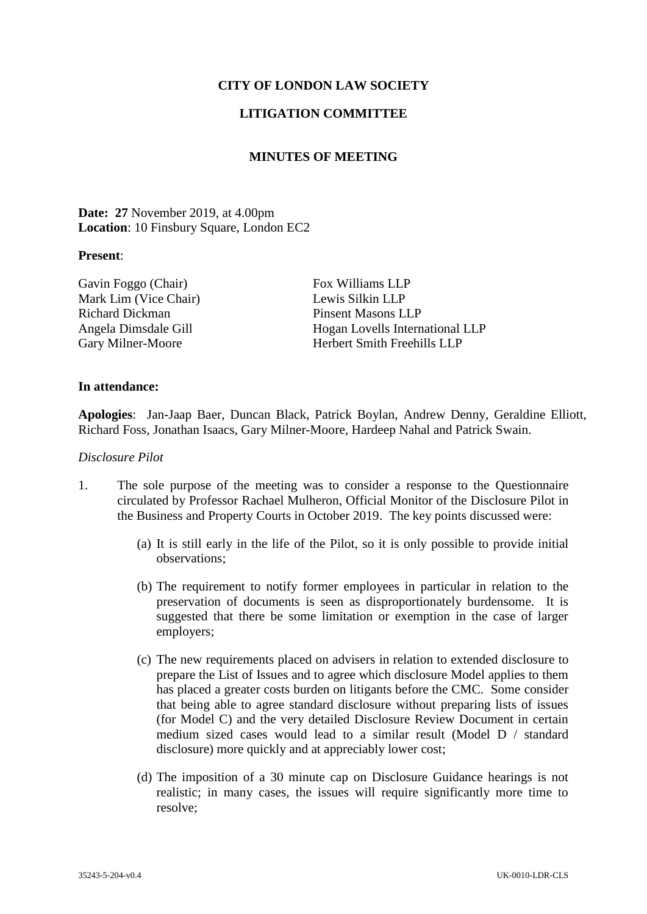# **CITY OF LONDON LAW SOCIETY**

# **LITIGATION COMMITTEE**

## **MINUTES OF MEETING**

**Date: 27** November 2019, at 4.00pm **Location**: 10 Finsbury Square, London EC2

### **Present**:

Gavin Foggo (Chair) Fox Williams LLP Mark Lim (Vice Chair) Lewis Silkin LLP Richard Dickman Pinsent Masons LLP

Angela Dimsdale Gill Hogan Lovells International LLP Gary Milner-Moore Herbert Smith Freehills LLP

#### **In attendance:**

**Apologies**: Jan-Jaap Baer, Duncan Black, Patrick Boylan, Andrew Denny, Geraldine Elliott, Richard Foss, Jonathan Isaacs, Gary Milner-Moore, Hardeep Nahal and Patrick Swain.

### *Disclosure Pilot*

- 1. The sole purpose of the meeting was to consider a response to the Questionnaire circulated by Professor Rachael Mulheron, Official Monitor of the Disclosure Pilot in the Business and Property Courts in October 2019. The key points discussed were:
	- (a) It is still early in the life of the Pilot, so it is only possible to provide initial observations;
	- (b) The requirement to notify former employees in particular in relation to the preservation of documents is seen as disproportionately burdensome. It is suggested that there be some limitation or exemption in the case of larger employers;
	- (c) The new requirements placed on advisers in relation to extended disclosure to prepare the List of Issues and to agree which disclosure Model applies to them has placed a greater costs burden on litigants before the CMC. Some consider that being able to agree standard disclosure without preparing lists of issues (for Model C) and the very detailed Disclosure Review Document in certain medium sized cases would lead to a similar result (Model D / standard disclosure) more quickly and at appreciably lower cost;
	- (d) The imposition of a 30 minute cap on Disclosure Guidance hearings is not realistic; in many cases, the issues will require significantly more time to resolve;